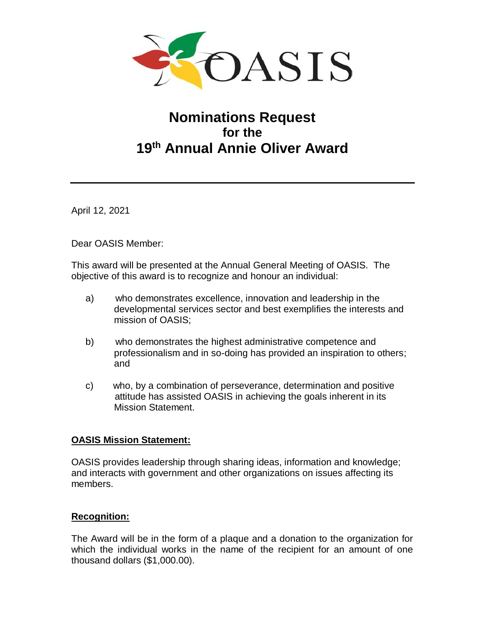

# **Nominations Request for the 19 th Annual Annie Oliver Award**

April 12, 2021

Dear OASIS Member:

This award will be presented at the Annual General Meeting of OASIS. The objective of this award is to recognize and honour an individual:

- a) who demonstrates excellence, innovation and leadership in the developmental services sector and best exemplifies the interests and mission of OASIS;
- b) who demonstrates the highest administrative competence and professionalism and in so-doing has provided an inspiration to others; and
- c) who, by a combination of perseverance, determination and positive attitude has assisted OASIS in achieving the goals inherent in its Mission Statement.

### **OASIS Mission Statement:**

OASIS provides leadership through sharing ideas, information and knowledge; and interacts with government and other organizations on issues affecting its members.

### **Recognition:**

The Award will be in the form of a plaque and a donation to the organization for which the individual works in the name of the recipient for an amount of one thousand dollars (\$1,000.00).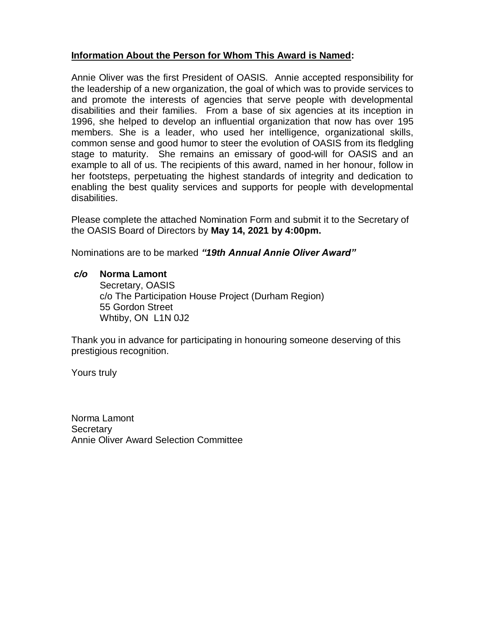# **Information About the Person for Whom This Award is Named:**

Annie Oliver was the first President of OASIS. Annie accepted responsibility for the leadership of a new organization, the goal of which was to provide services to and promote the interests of agencies that serve people with developmental disabilities and their families. From a base of six agencies at its inception in 1996, she helped to develop an influential organization that now has over 195 members. She is a leader, who used her intelligence, organizational skills, common sense and good humor to steer the evolution of OASIS from its fledgling stage to maturity. She remains an emissary of good-will for OASIS and an example to all of us. The recipients of this award, named in her honour, follow in her footsteps, perpetuating the highest standards of integrity and dedication to enabling the best quality services and supports for people with developmental disabilities.

Please complete the attached Nomination Form and submit it to the Secretary of the OASIS Board of Directors by **May 14, 2021 by 4:00pm.**

Nominations are to be marked *"19th Annual Annie Oliver Award"*

## *c/o* **Norma Lamont**

Secretary, OASIS c/o The Participation House Project (Durham Region) 55 Gordon Street Whtiby, ON L1N 0J2

Thank you in advance for participating in honouring someone deserving of this prestigious recognition.

Yours truly

Norma Lamont **Secretary** Annie Oliver Award Selection Committee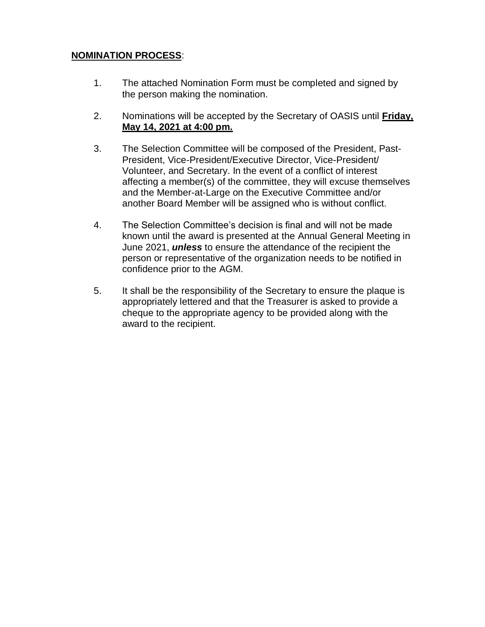# **NOMINATION PROCESS**:

- 1. The attached Nomination Form must be completed and signed by the person making the nomination.
- 2. Nominations will be accepted by the Secretary of OASIS until **Friday, May 14, 2021 at 4:00 pm.**
- 3. The Selection Committee will be composed of the President, Past-President, Vice-President/Executive Director, Vice-President/ Volunteer, and Secretary. In the event of a conflict of interest affecting a member(s) of the committee, they will excuse themselves and the Member-at-Large on the Executive Committee and/or another Board Member will be assigned who is without conflict.
- 4. The Selection Committee's decision is final and will not be made known until the award is presented at the Annual General Meeting in June 2021, *unless* to ensure the attendance of the recipient the person or representative of the organization needs to be notified in confidence prior to the AGM.
- 5. It shall be the responsibility of the Secretary to ensure the plaque is appropriately lettered and that the Treasurer is asked to provide a cheque to the appropriate agency to be provided along with the award to the recipient.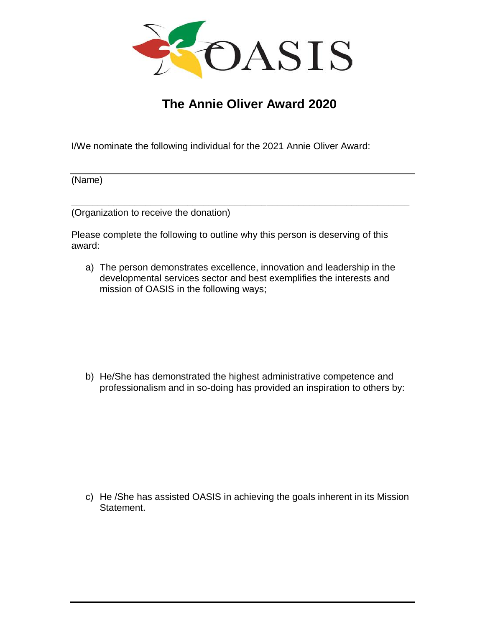

# **The Annie Oliver Award 2020**

I/We nominate the following individual for the 2021 Annie Oliver Award:

(Name)

(Organization to receive the donation)

Please complete the following to outline why this person is deserving of this award:

**\_\_\_\_\_\_\_\_\_\_\_\_\_\_\_\_\_\_\_\_\_\_\_\_\_\_\_\_\_\_\_\_\_\_\_\_\_\_\_\_\_\_\_\_\_\_\_\_\_\_\_\_\_\_\_\_\_\_\_\_\_\_\_\_**

a) The person demonstrates excellence, innovation and leadership in the developmental services sector and best exemplifies the interests and mission of OASIS in the following ways;

b) He/She has demonstrated the highest administrative competence and professionalism and in so-doing has provided an inspiration to others by:

c) He /She has assisted OASIS in achieving the goals inherent in its Mission Statement.